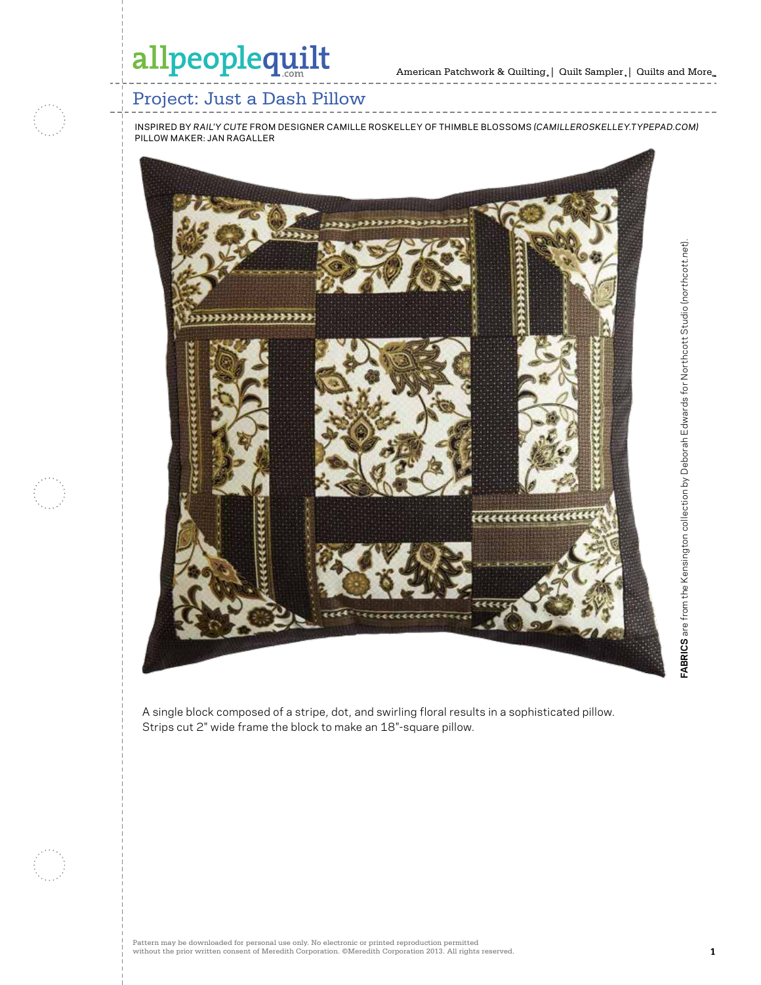## allpeoplequilt

## Project: Just a Dash Pillow

inspired by *Rail'y cute* from designer camille roskelley of thimble blossoms *(camilleroskelley.typepad.com)* Pillow Maker: jan ragaller



A single block composed of a stripe, dot, and swirling floral results in a sophisticated pillow. Strips cut 2" wide frame the block to make an 18"-square pillow.

**FABRICS** are from the Kensington collection by Deborah Edwards for Northcott Studio (*northcott.net*).

FABRICS are from the Kensington collection by Deborah Edwards for Northcott Studio (northcott.net).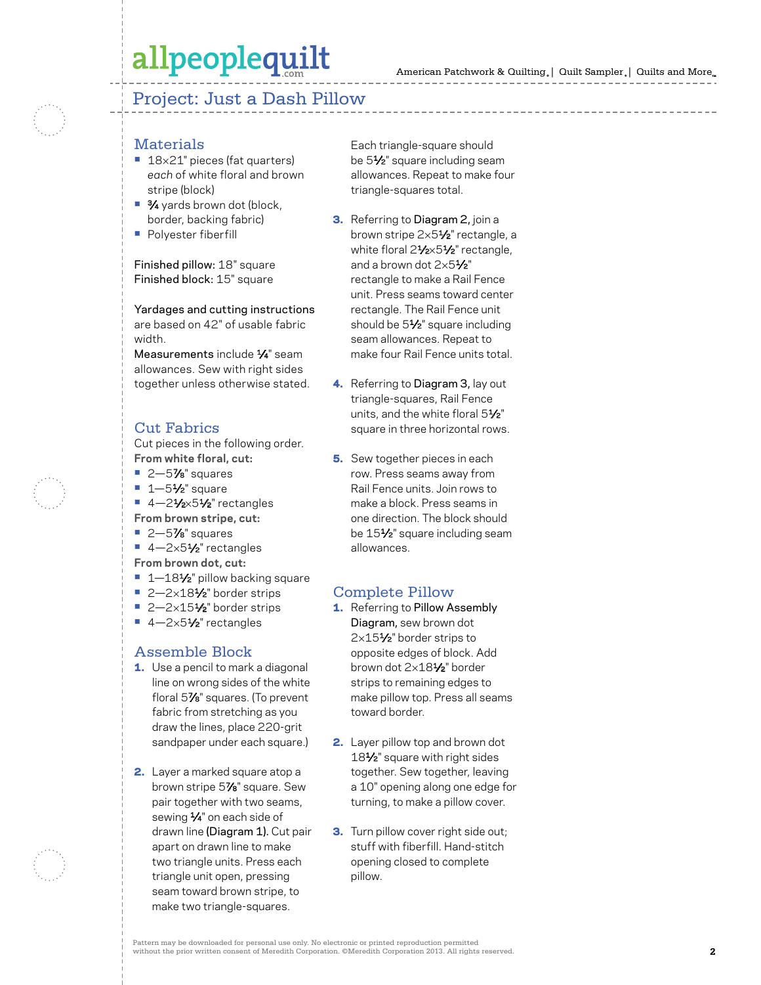## allpeoplequilt

### Project: Just a Dash Pillow

- Materials **•** <sup>18</sup>×21" pieces (fat quarters) *each* of white floral and brown stripe (block)
- **•** 3⁄4 yards brown dot (block, border, backing fabric)
- **•** Polyester fiberfill

Finished pillow: 18" square Finished block: 15" square

Yardages and cutting instructions are based on 42" of usable fabric width.

Measurements include 1⁄4" seam allowances. Sew with right sides together unless otherwise stated.

### Cut Fabrics

Cut pieces in the following order. **From white floral, cut:**<br>■ 2—5**7⁄8**" squares<br>■ 1—5½" square<br>■ 4—2½×5½" rectangles

- 
- 
- 
- 
- **From brown stripe, cut:**<br>■ 2—5**7⁄8**" squares<br>■ 4—2×5½" rectangles **From brown dot, cut:**
- 
- **•** 1—181⁄2" pillow backing square **•** 2—2×181⁄2" border strips **•** 2—2×151⁄2" border strips **•** 4—2×51⁄2" rectangles
- 
- 

### Assemble Block

- 1. Use a pencil to mark a diagonal line on wrong sides of the white floral 5 7⁄8" squares. (To prevent fabric from stretching as you draw the lines, place 220-grit sandpaper under each square.)
- 2. Layer a marked square atop a brown stripe 5 7⁄8" square. Sew pair together with two seams, sewing 1⁄4" on each side of drawn line ( Diagram 1). Cut pair apart on drawn line to make two triangle units. Press each triangle unit open, pressing seam toward brown stripe, to make two triangle-squares.

Each triangle-square should be 5 1⁄2" square including seam allowances. Repeat to make four triangle-squares total.

- **3.** Referring to Diagram 2, join a brown stripe 2×5**½**" rectangle, a white floral 2½×5½" rectangle, and a brown dot 2 × 5 1⁄2" rectangle to make a Rail Fence unit. Press seams toward center rectangle. The Rail Fence unit should be 5 1⁄2" square including seam allowances. Repeat to make four Rail Fence units total.
- **4.** Referring to Diagram 3, lay out triangle-squares, Rail Fence units, and the white floral 5 1⁄2" square in three horizontal rows.
- **5.** Sew together pieces in each row. Press seams away from Rail Fence units. Join rows to make a block. Press seams in one direction. The block should be 15 1⁄2" square including seam allowances.

### Complete Pillow

- **1.** Referring to Pillow Assembly **Diagram,** sew brown dot  $2\times15\frac{1}{2}$  border strips to opposite edges of block. Add brown dot 2 ×18 1⁄2" border strips to remaining edges to make pillow top. Press all seams toward border.
- 2. Layer pillow top and brown dot 18 1⁄2" square with right sides together. Sew together, leaving a 10" opening along one edge for turning, to make a pillow cover.
- **3.** Turn pillow cover right side out; stuff with fiberfill. Hand-stitch opening closed to complete pillow.